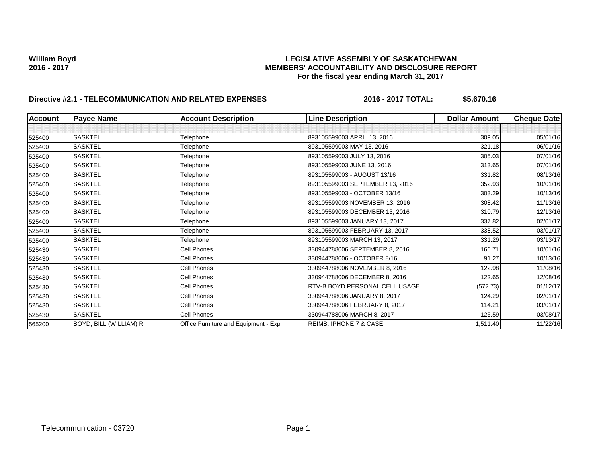# William Boyd<br>LEGISLATIVE ASSEMBLY OF SASKATCHEWAN<br>MEMBERS' ACCOUNTABILITY AND DISCLOSURE REF **2016 - 2017 MEMBERS' ACCOUNTABILITY AND DISCLOSURE REPORT For the fiscal year ending March 31, 2017**

# **Directive #2.1 - TELECOMMUNICATION AND RELATED EXPENSES** 2016 - 2016 - 2017 TOTAL: \$5,670.16

| <b>Account</b> | <b>Payee Name</b>       | <b>Account Description</b>           | <b>Line Description</b>           | Dollar Amount | <b>Cheque Date</b> |
|----------------|-------------------------|--------------------------------------|-----------------------------------|---------------|--------------------|
|                |                         |                                      |                                   |               |                    |
| 525400         | <b>SASKTEL</b>          | Telephone                            | 893105599003 APRIL 13, 2016       | 309.05        | 05/01/16           |
| 525400         | <b>SASKTEL</b>          | Telephone                            | 893105599003 MAY 13, 2016         | 321.18        | 06/01/16           |
| 525400         | <b>SASKTEL</b>          | Telephone                            | 893105599003 JULY 13, 2016        | 305.03        | 07/01/16           |
| 525400         | <b>SASKTEL</b>          | Telephone                            | 893105599003 JUNE 13, 2016        | 313.65        | 07/01/16           |
| 525400         | <b>SASKTEL</b>          | Telephone                            | 893105599003 - AUGUST 13/16       | 331.82        | 08/13/16           |
| 525400         | <b>SASKTEL</b>          | Telephone                            | 893105599003 SEPTEMBER 13, 2016   | 352.93        | 10/01/16           |
| 525400         | <b>SASKTEL</b>          | Telephone                            | 893105599003 - OCTOBER 13/16      | 303.29        | 10/13/16           |
| 525400         | <b>SASKTEL</b>          | Telephone                            | 893105599003 NOVEMBER 13, 2016    | 308.42        | 11/13/16           |
| 525400         | SASKTEL                 | Telephone                            | 893105599003 DECEMBER 13, 2016    | 310.79        | 12/13/16           |
| 525400         | <b>SASKTEL</b>          | Telephone                            | 893105599003 JANUARY 13, 2017     | 337.82        | 02/01/17           |
| 525400         | <b>SASKTEL</b>          | Telephone                            | 893105599003 FEBRUARY 13, 2017    | 338.52        | 03/01/17           |
| 525400         | <b>SASKTEL</b>          | Telephone                            | 893105599003 MARCH 13, 2017       | 331.29        | 03/13/17           |
| 525430         | <b>SASKTEL</b>          | Cell Phones                          | 330944788006 SEPTEMBER 8, 2016    | 166.71        | 10/01/16           |
| 525430         | <b>SASKTEL</b>          | <b>Cell Phones</b>                   | 330944788006 - OCTOBER 8/16       | 91.27         | 10/13/16           |
| 525430         | <b>SASKTEL</b>          | Cell Phones                          | 330944788006 NOVEMBER 8, 2016     | 122.98        | 11/08/16           |
| 525430         | SASKTEL                 | <b>Cell Phones</b>                   | 330944788006 DECEMBER 8, 2016     | 122.65        | 12/08/16           |
| 525430         | <b>SASKTEL</b>          | Cell Phones                          | RTV-B BOYD PERSONAL CELL USAGE    | (572.73)      | 01/12/17           |
| 525430         | <b>SASKTEL</b>          | <b>Cell Phones</b>                   | 330944788006 JANUARY 8, 2017      | 124.29        | 02/01/17           |
| 525430         | <b>SASKTEL</b>          | Cell Phones                          | 330944788006 FEBRUARY 8, 2017     | 114.21        | 03/01/17           |
| 525430         | <b>SASKTEL</b>          | Cell Phones                          | 330944788006 MARCH 8, 2017        | 125.59        | 03/08/17           |
| 565200         | BOYD, BILL (WILLIAM) R. | Office Furniture and Equipment - Exp | <b>REIMB: IPHONE 7 &amp; CASE</b> | 1,511.40      | 11/22/16           |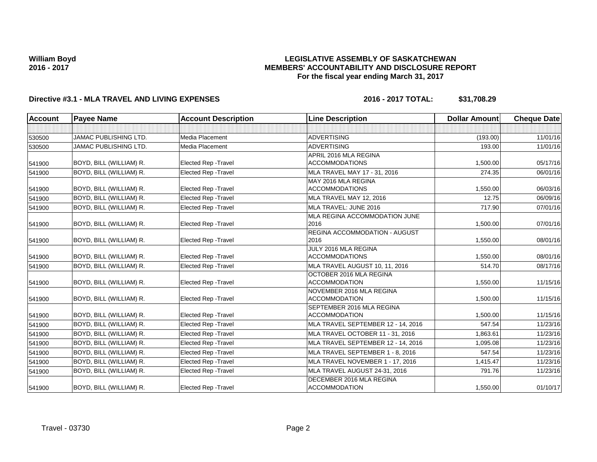### **LEGISLATIVE ASSEMBLY OF SASKATCHEWAN MEMBERS' ACCOUNTABILITY AND DISCLOSURE REPORT For the fiscal year ending March 31, 2017**

# **Directive #3.1 - MLA TRAVEL AND LIVING EXPENSES 2016 - 2017 TOTAL: \$31,708.29**

| <b>Account</b> | <b>Payee Name</b>            | <b>Account Description</b>  | <b>Line Description</b>                         | <b>Dollar Amount</b> | <b>Cheque Date</b> |
|----------------|------------------------------|-----------------------------|-------------------------------------------------|----------------------|--------------------|
|                |                              |                             |                                                 |                      |                    |
| 530500         | JAMAC PUBLISHING LTD.        | Media Placement             | <b>ADVERTISING</b>                              | (193.00)             | 11/01/16           |
| 530500         | <b>JAMAC PUBLISHING LTD.</b> | Media Placement             | <b>ADVERTISING</b>                              | 193.00               | 11/01/16           |
|                |                              |                             | APRIL 2016 MLA REGINA                           |                      |                    |
| 541900         | BOYD, BILL (WILLIAM) R.      | <b>Elected Rep - Travel</b> | <b>ACCOMMODATIONS</b>                           | 1,500.00             | 05/17/16           |
| 541900         | BOYD, BILL (WILLIAM) R.      | <b>Elected Rep - Travel</b> | MLA TRAVEL MAY 17 - 31, 2016                    | 274.35               | 06/01/16           |
|                |                              |                             | MAY 2016 MLA REGINA                             |                      |                    |
| 541900         | BOYD, BILL (WILLIAM) R.      | <b>Elected Rep - Travel</b> | <b>ACCOMMODATIONS</b>                           | 1,550.00             | 06/03/16           |
| 541900         | BOYD, BILL (WILLIAM) R.      | <b>Elected Rep - Travel</b> | MLA TRAVEL MAY 12, 2016                         | 12.75                | 06/09/16           |
| 541900         | BOYD, BILL (WILLIAM) R.      | <b>Elected Rep - Travel</b> | MLA TRAVEL: JUNE 2016                           | 717.90               | 07/01/16           |
|                |                              |                             | MLA REGINA ACCOMMODATION JUNE                   |                      |                    |
| 541900         | BOYD, BILL (WILLIAM) R.      | <b>Elected Rep - Travel</b> | 2016                                            | 1,500.00             | 07/01/16           |
|                |                              |                             | <b>REGINA ACCOMMODATION - AUGUST</b>            |                      |                    |
| 541900         | BOYD, BILL (WILLIAM) R.      | <b>Elected Rep - Travel</b> | 2016                                            | 1,550.00             | 08/01/16           |
|                |                              |                             | JULY 2016 MLA REGINA                            |                      |                    |
| 541900         | BOYD, BILL (WILLIAM) R.      | <b>Elected Rep - Travel</b> | <b>ACCOMMODATIONS</b>                           | 1,550.00             | 08/01/16           |
| 541900         | BOYD, BILL (WILLIAM) R.      | Elected Rep - Travel        | MLA TRAVEL AUGUST 10, 11, 2016                  | 514.70               | 08/17/16           |
|                |                              |                             | OCTOBER 2016 MLA REGINA<br><b>ACCOMMODATION</b> |                      |                    |
| 541900         | BOYD, BILL (WILLIAM) R.      | Elected Rep - Travel        | NOVEMBER 2016 MLA REGINA                        | 1,550.00             | 11/15/16           |
| 541900         | BOYD, BILL (WILLIAM) R.      | <b>Elected Rep - Travel</b> | <b>ACCOMMODATION</b>                            | 1,500.00             | 11/15/16           |
|                |                              |                             | SEPTEMBER 2016 MLA REGINA                       |                      |                    |
| 541900         | BOYD, BILL (WILLIAM) R.      | <b>Elected Rep - Travel</b> | <b>ACCOMMODATION</b>                            | 1,500.00             | 11/15/16           |
| 541900         | BOYD, BILL (WILLIAM) R.      | <b>Elected Rep - Travel</b> | MLA TRAVEL SEPTEMBER 12 - 14, 2016              | 547.54               | 11/23/16           |
| 541900         | BOYD, BILL (WILLIAM) R.      | Elected Rep - Travel        | MLA TRAVEL OCTOBER 11 - 31, 2016                | 1,863.61             | 11/23/16           |
| 541900         | BOYD, BILL (WILLIAM) R.      | <b>Elected Rep - Travel</b> | MLA TRAVEL SEPTEMBER 12 - 14, 2016              | 1,095.08             | 11/23/16           |
| 541900         | BOYD, BILL (WILLIAM) R.      | <b>Elected Rep - Travel</b> | MLA TRAVEL SEPTEMBER 1 - 8, 2016                | 547.54               | 11/23/16           |
| 541900         | BOYD, BILL (WILLIAM) R.      | Elected Rep - Travel        | MLA TRAVEL NOVEMBER 1 - 17, 2016                | 1,415.47             | 11/23/16           |
| 541900         | BOYD, BILL (WILLIAM) R.      | Elected Rep - Travel        | MLA TRAVEL AUGUST 24-31, 2016                   | 791.76               | 11/23/16           |
|                |                              |                             | DECEMBER 2016 MLA REGINA                        |                      |                    |
| 541900         | BOYD, BILL (WILLIAM) R.      | Elected Rep - Travel        | <b>ACCOMMODATION</b>                            | 1,550.00             | 01/10/17           |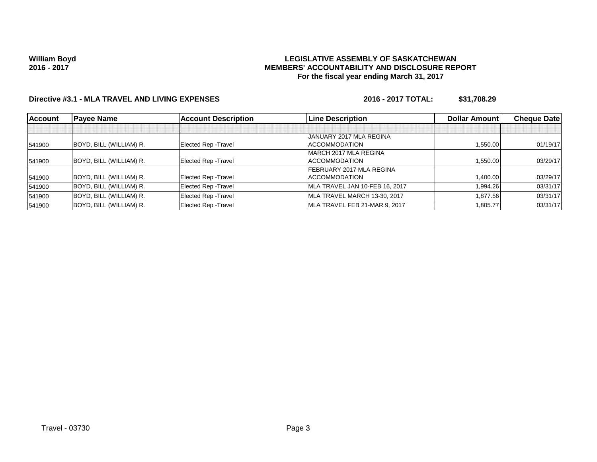### **LEGISLATIVE ASSEMBLY OF SASKATCHEWAN MEMBERS' ACCOUNTABILITY AND DISCLOSURE REPORT For the fiscal year ending March 31, 2017**

# **Directive #3.1 - MLA TRAVEL AND LIVING EXPENSES 2016 - 2017 TOTAL: \$31,708.29**

| <b>Account</b> | <b>Payee Name</b>       | <b>Account Description</b>  | <b>Line Description</b>        | <b>Dollar Amountl</b> | <b>Cheque Datel</b> |
|----------------|-------------------------|-----------------------------|--------------------------------|-----------------------|---------------------|
|                |                         |                             |                                |                       |                     |
|                |                         |                             | JANUARY 2017 MLA REGINA        |                       |                     |
| 541900         | BOYD, BILL (WILLIAM) R. | <b>Elected Rep - Travel</b> | <b>ACCOMMODATION</b>           | 1,550.00              | 01/19/17            |
|                |                         |                             | MARCH 2017 MLA REGINA          |                       |                     |
| 541900         | BOYD, BILL (WILLIAM) R. | Elected Rep - Travel        | <b>ACCOMMODATION</b>           | 1.550.00              | 03/29/17            |
|                |                         |                             | FEBRUARY 2017 MLA REGINA       |                       |                     |
| 541900         | BOYD, BILL (WILLIAM) R. | Elected Rep - Travel        | <b>ACCOMMODATION</b>           | 1.400.00              | 03/29/17            |
| 541900         | BOYD, BILL (WILLIAM) R. | Elected Rep - Travel        | MLA TRAVEL JAN 10-FEB 16, 2017 | 1,994.26              | 03/31/17            |
| 541900         | BOYD, BILL (WILLIAM) R. | <b>Elected Rep - Travel</b> | MLA TRAVEL MARCH 13-30, 2017   | 1.877.56              | 03/31/17            |
| 541900         | BOYD, BILL (WILLIAM) R. | Elected Rep - Travel        | MLA TRAVEL FEB 21-MAR 9, 2017  | 1,805.77              | 03/31/17            |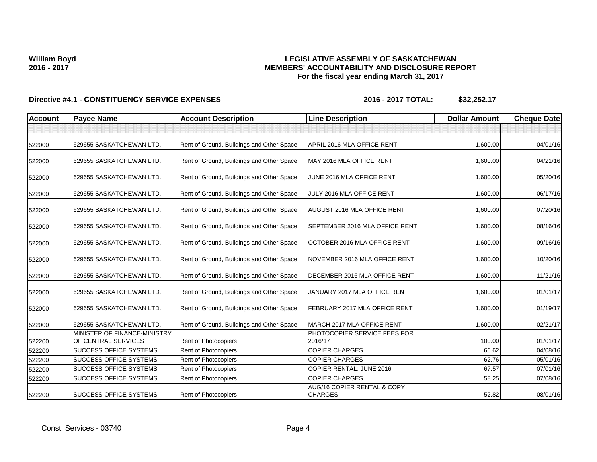### **LEGISLATIVE ASSEMBLY OF SASKATCHEWAN MEMBERS' ACCOUNTABILITY AND DISCLOSURE REPORT For the fiscal year ending March 31, 2017**

| <b>Account</b> | <b>Payee Name</b>                                   | <b>Account Description</b>                | <b>Line Description</b>                       | <b>Dollar Amount</b> | <b>Cheque Date</b> |
|----------------|-----------------------------------------------------|-------------------------------------------|-----------------------------------------------|----------------------|--------------------|
|                |                                                     |                                           |                                               |                      |                    |
| 522000         | 629655 SASKATCHEWAN LTD.                            | Rent of Ground, Buildings and Other Space | APRIL 2016 MLA OFFICE RENT                    | 1,600.00             | 04/01/16           |
| 522000         | 629655 SASKATCHEWAN LTD.                            | Rent of Ground, Buildings and Other Space | MAY 2016 MLA OFFICE RENT                      | 1,600.00             | 04/21/16           |
| 522000         | 629655 SASKATCHEWAN LTD.                            | Rent of Ground, Buildings and Other Space | JUNE 2016 MLA OFFICE RENT                     | 1,600.00             | 05/20/16           |
| 522000         | 629655 SASKATCHEWAN LTD.                            | Rent of Ground, Buildings and Other Space | JULY 2016 MLA OFFICE RENT                     | 1,600.00             | 06/17/16           |
| 522000         | 629655 SASKATCHEWAN LTD.                            | Rent of Ground, Buildings and Other Space | AUGUST 2016 MLA OFFICE RENT                   | 1,600.00             | 07/20/16           |
| 522000         | 629655 SASKATCHEWAN LTD.                            | Rent of Ground, Buildings and Other Space | <b>SEPTEMBER 2016 MLA OFFICE RENT</b>         | 1,600.00             | 08/16/16           |
| 522000         | 629655 SASKATCHEWAN LTD.                            | Rent of Ground, Buildings and Other Space | OCTOBER 2016 MLA OFFICE RENT                  | 1,600.00             | 09/16/16           |
| 522000         | 629655 SASKATCHEWAN LTD.                            | Rent of Ground, Buildings and Other Space | NOVEMBER 2016 MLA OFFICE RENT                 | 1,600.00             | 10/20/16           |
| 522000         | 629655 SASKATCHEWAN LTD.                            | Rent of Ground, Buildings and Other Space | DECEMBER 2016 MLA OFFICE RENT                 | 1,600.00             | 11/21/16           |
| 522000         | 629655 SASKATCHEWAN LTD.                            | Rent of Ground, Buildings and Other Space | JANUARY 2017 MLA OFFICE RENT                  | 1,600.00             | 01/01/17           |
| 522000         | 629655 SASKATCHEWAN LTD.                            | Rent of Ground, Buildings and Other Space | FEBRUARY 2017 MLA OFFICE RENT                 | 1,600.00             | 01/19/17           |
| 522000         | 629655 SASKATCHEWAN LTD.                            | Rent of Ground, Buildings and Other Space | MARCH 2017 MLA OFFICE RENT                    | 1,600.00             | 02/21/17           |
| 522200         | MINISTER OF FINANCE-MINISTRY<br>OF CENTRAL SERVICES | <b>Rent of Photocopiers</b>               | PHOTOCOPIER SERVICE FEES FOR<br>2016/17       | 100.00               | 01/01/17           |
| 522200         | <b>SUCCESS OFFICE SYSTEMS</b>                       | Rent of Photocopiers                      | <b>COPIER CHARGES</b>                         | 66.62                | 04/08/16           |
| 522200         | SUCCESS OFFICE SYSTEMS                              | Rent of Photocopiers                      | <b>COPIER CHARGES</b>                         | 62.76                | 05/01/16           |
| 522200         | <b>SUCCESS OFFICE SYSTEMS</b>                       | Rent of Photocopiers                      | <b>COPIER RENTAL: JUNE 2016</b>               | 67.57                | 07/01/16           |
| 522200         | <b>SUCCESS OFFICE SYSTEMS</b>                       | <b>Rent of Photocopiers</b>               | <b>COPIER CHARGES</b>                         | 58.25                | 07/08/16           |
| 522200         | <b>SUCCESS OFFICE SYSTEMS</b>                       | Rent of Photocopiers                      | AUG/16 COPIER RENTAL & COPY<br><b>CHARGES</b> | 52.82                | 08/01/16           |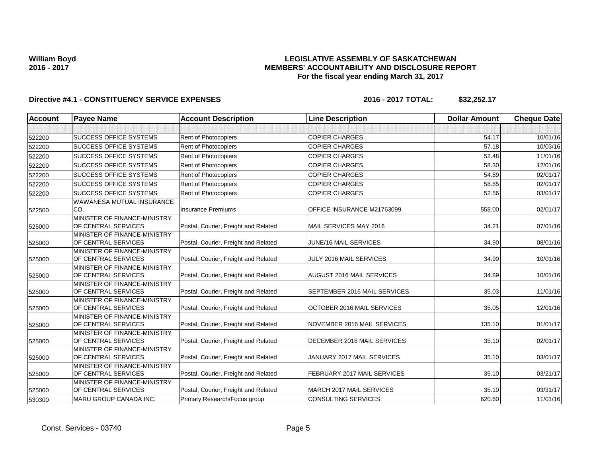### **LEGISLATIVE ASSEMBLY OF SASKATCHEWAN MEMBERS' ACCOUNTABILITY AND DISCLOSURE REPORT For the fiscal year ending March 31, 2017**

| <b>Account</b> | <b>Payee Name</b>                                   | <b>Account Description</b>           | <b>Line Description</b>      | <b>Dollar Amount</b> | <b>Cheque Date</b> |
|----------------|-----------------------------------------------------|--------------------------------------|------------------------------|----------------------|--------------------|
|                |                                                     |                                      |                              |                      |                    |
| 522200         | <b>ISUCCESS OFFICE SYSTEMS</b>                      | Rent of Photocopiers                 | <b>COPIER CHARGES</b>        | 54.17                | 10/01/16           |
| 522200         | <b>SUCCESS OFFICE SYSTEMS</b>                       | Rent of Photocopiers                 | <b>COPIER CHARGES</b>        | 57.18                | 10/03/16           |
| 522200         | <b>SUCCESS OFFICE SYSTEMS</b>                       | Rent of Photocopiers                 | <b>COPIER CHARGES</b>        | 52.48                | 11/01/16           |
| 522200         | <b>SUCCESS OFFICE SYSTEMS</b>                       | Rent of Photocopiers                 | <b>COPIER CHARGES</b>        | 58.30                | 12/01/16           |
| 522200         | <b>SUCCESS OFFICE SYSTEMS</b>                       | Rent of Photocopiers                 | <b>COPIER CHARGES</b>        | 54.89                | 02/01/17           |
| 522200         | <b>SUCCESS OFFICE SYSTEMS</b>                       | <b>Rent of Photocopiers</b>          | <b>COPIER CHARGES</b>        | 58.85                | 02/01/17           |
| 522200         | <b>SUCCESS OFFICE SYSTEMS</b>                       | Rent of Photocopiers                 | <b>COPIER CHARGES</b>        | 52.56                | 03/01/17           |
|                | WAWANESA MUTUAL INSURANCE                           |                                      |                              |                      |                    |
| 522500         | CO.                                                 | <b>Insurance Premiums</b>            | OFFICE INSURANCE M21763099   | 558.00               | 02/01/17           |
|                | MINISTER OF FINANCE-MINISTRY                        |                                      |                              |                      |                    |
| 525000         | OF CENTRAL SERVICES                                 | Postal, Courier, Freight and Related | MAIL SERVICES MAY 2016       | 34.21                | 07/01/16           |
|                | MINISTER OF FINANCE-MINISTRY                        |                                      |                              |                      |                    |
| 525000         | OF CENTRAL SERVICES                                 | Postal, Courier, Freight and Related | JUNE/16 MAIL SERVICES        | 34.90                | 08/01/16           |
|                | MINISTER OF FINANCE-MINISTRY                        |                                      |                              |                      |                    |
| 525000         | OF CENTRAL SERVICES                                 | Postal, Courier, Freight and Related | JULY 2016 MAIL SERVICES      | 34.90                | 10/01/16           |
|                | MINISTER OF FINANCE-MINISTRY                        |                                      |                              |                      |                    |
| 525000         | OF CENTRAL SERVICES                                 | Postal, Courier, Freight and Related | AUGUST 2016 MAIL SERVICES    | 34.89                | 10/01/16           |
|                | MINISTER OF FINANCE-MINISTRY<br>OF CENTRAL SERVICES | Postal, Courier, Freight and Related | SEPTEMBER 2016 MAIL SERVICES | 35.03                | 11/01/16           |
| 525000         |                                                     |                                      |                              |                      |                    |
|                | MINISTER OF FINANCE-MINISTRY<br>OF CENTRAL SERVICES | Postal, Courier, Freight and Related | OCTOBER 2016 MAIL SERVICES   | 35.05                | 12/01/16           |
| 525000         | MINISTER OF FINANCE-MINISTRY                        |                                      |                              |                      |                    |
| 525000         | OF CENTRAL SERVICES                                 | Postal, Courier, Freight and Related | NOVEMBER 2016 MAIL SERVICES  | 135.10               | 01/01/17           |
|                | MINISTER OF FINANCE-MINISTRY                        |                                      |                              |                      |                    |
| 525000         | OF CENTRAL SERVICES                                 | Postal, Courier, Freight and Related | DECEMBER 2016 MAIL SERVICES  | 35.10                | 02/01/17           |
|                | MINISTER OF FINANCE-MINISTRY                        |                                      |                              |                      |                    |
| 525000         | OF CENTRAL SERVICES                                 | Postal, Courier, Freight and Related | JANUARY 2017 MAIL SERVICES   | 35.10                | 03/01/17           |
|                | MINISTER OF FINANCE-MINISTRY                        |                                      |                              |                      |                    |
| 525000         | OF CENTRAL SERVICES                                 | Postal, Courier, Freight and Related | FEBRUARY 2017 MAIL SERVICES  | 35.10                | 03/21/17           |
|                | MINISTER OF FINANCE-MINISTRY                        |                                      |                              |                      |                    |
| 525000         | OF CENTRAL SERVICES                                 | Postal, Courier, Freight and Related | MARCH 2017 MAIL SERVICES     | 35.10                | 03/31/17           |
| 530300         | <b>MARU GROUP CANADA INC.</b>                       | Primary Research/Focus group         | <b>CONSULTING SERVICES</b>   | 620.60               | 11/01/16           |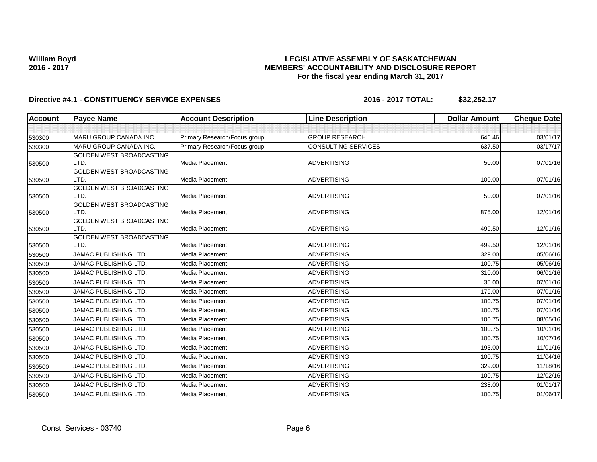### **LEGISLATIVE ASSEMBLY OF SASKATCHEWAN MEMBERS' ACCOUNTABILITY AND DISCLOSURE REPORT For the fiscal year ending March 31, 2017**

| Account | <b>Payee Name</b>                | <b>Account Description</b>   | <b>Line Description</b> | <b>Dollar Amount</b> | <b>Cheque Date</b> |
|---------|----------------------------------|------------------------------|-------------------------|----------------------|--------------------|
|         |                                  |                              |                         |                      |                    |
| 530300  | MARU GROUP CANADA INC.           | Primary Research/Focus group | <b>GROUP RESEARCH</b>   | 646.46               | 03/01/17           |
| 530300  | <b>MARU GROUP CANADA INC.</b>    | Primary Research/Focus group | CONSULTING SERVICES     | 637.50               | 03/17/17           |
|         | <b>GOLDEN WEST BROADCASTING</b>  |                              |                         |                      |                    |
| 530500  | LTD.                             | Media Placement              | <b>ADVERTISING</b>      | 50.00                | 07/01/16           |
|         | <b>GOLDEN WEST BROADCASTING</b>  |                              |                         |                      |                    |
| 530500  | LTD.                             | Media Placement              | <b>ADVERTISING</b>      | 100.00               | 07/01/16           |
|         | GOLDEN WEST BROADCASTING         |                              |                         |                      |                    |
| 530500  | LTD.                             | Media Placement              | <b>ADVERTISING</b>      | 50.00                | 07/01/16           |
|         | GOLDEN WEST BROADCASTING<br>LTD. | Media Placement              | <b>ADVERTISING</b>      | 875.00               |                    |
| 530500  | <b>GOLDEN WEST BROADCASTING</b>  |                              |                         |                      | 12/01/16           |
| 530500  | LTD.                             | <b>Media Placement</b>       | <b>ADVERTISING</b>      | 499.50               | 12/01/16           |
|         | <b>GOLDEN WEST BROADCASTING</b>  |                              |                         |                      |                    |
| 530500  | LTD.                             | <b>Media Placement</b>       | <b>ADVERTISING</b>      | 499.50               | 12/01/16           |
| 530500  | JAMAC PUBLISHING LTD.            | Media Placement              | <b>ADVERTISING</b>      | 329.00               | 05/06/16           |
| 530500  | JAMAC PUBLISHING LTD.            | Media Placement              | <b>ADVERTISING</b>      | 100.75               | 05/06/16           |
| 530500  | JAMAC PUBLISHING LTD.            | Media Placement              | <b>ADVERTISING</b>      | 310.00               | 06/01/16           |
| 530500  | JAMAC PUBLISHING LTD.            | <b>Media Placement</b>       | <b>ADVERTISING</b>      | 35.00                | 07/01/16           |
| 530500  | <b>JAMAC PUBLISHING LTD.</b>     | <b>Media Placement</b>       | <b>ADVERTISING</b>      | 179.00               | 07/01/16           |
| 530500  | JAMAC PUBLISHING LTD.            | Media Placement              | <b>ADVERTISING</b>      | 100.75               | 07/01/16           |
| 530500  | <b>JAMAC PUBLISHING LTD.</b>     | Media Placement              | <b>ADVERTISING</b>      | 100.75               | 07/01/16           |
| 530500  | JAMAC PUBLISHING LTD.            | Media Placement              | <b>ADVERTISING</b>      | 100.75               | 08/05/16           |
| 530500  | JAMAC PUBLISHING LTD.            | Media Placement              | <b>ADVERTISING</b>      | 100.75               | 10/01/16           |
| 530500  | <b>JAMAC PUBLISHING LTD.</b>     | <b>Media Placement</b>       | <b>ADVERTISING</b>      | 100.75               | 10/07/16           |
| 530500  | <b>JAMAC PUBLISHING LTD.</b>     | <b>Media Placement</b>       | <b>ADVERTISING</b>      | 193.00               | 11/01/16           |
| 530500  | JAMAC PUBLISHING LTD.            | Media Placement              | <b>ADVERTISING</b>      | 100.75               | 11/04/16           |
| 530500  | JAMAC PUBLISHING LTD.            | Media Placement              | <b>ADVERTISING</b>      | 329.00               | 11/18/16           |
| 530500  | JAMAC PUBLISHING LTD.            | Media Placement              | <b>ADVERTISING</b>      | 100.75               | 12/02/16           |
| 530500  | <b>JAMAC PUBLISHING LTD.</b>     | Media Placement              | <b>ADVERTISING</b>      | 238.00               | 01/01/17           |
| 530500  | JAMAC PUBLISHING LTD.            | Media Placement              | <b>ADVERTISING</b>      | 100.75               | 01/06/17           |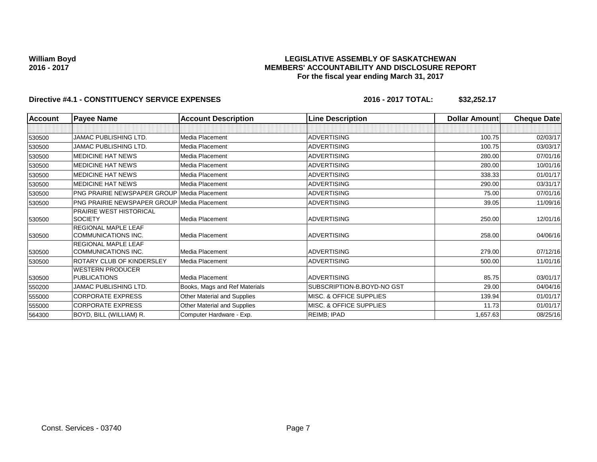### **LEGISLATIVE ASSEMBLY OF SASKATCHEWAN MEMBERS' ACCOUNTABILITY AND DISCLOSURE REPORT For the fiscal year ending March 31, 2017**

| <b>Account</b> | <b>Payee Name</b>                                  | <b>Account Description</b>    | <b>Line Description</b>    | Dollar Amount | <b>Cheque Date</b> |
|----------------|----------------------------------------------------|-------------------------------|----------------------------|---------------|--------------------|
|                |                                                    |                               |                            |               |                    |
| 530500         | JAMAC PUBLISHING LTD.                              | Media Placement               | <b>ADVERTISING</b>         | 100.75        | 02/03/17           |
| 530500         | <b>JAMAC PUBLISHING LTD.</b>                       | Media Placement               | <b>ADVERTISING</b>         | 100.75        | 03/03/17           |
| 530500         | <b>MEDICINE HAT NEWS</b>                           | Media Placement               | <b>ADVERTISING</b>         | 280.00        | 07/01/16           |
| 530500         | <b>MEDICINE HAT NEWS</b>                           | Media Placement               | <b>ADVERTISING</b>         | 280.00        | 10/01/16           |
| 530500         | <b>MEDICINE HAT NEWS</b>                           | Media Placement               | <b>ADVERTISING</b>         | 338.33        | 01/01/17           |
| 530500         | <b>MEDICINE HAT NEWS</b>                           | Media Placement               | <b>ADVERTISING</b>         | 290.00        | 03/31/17           |
| 530500         | <b>PNG PRAIRIE NEWSPAPER GROUP Media Placement</b> |                               | <b>ADVERTISING</b>         | 75.00         | 07/01/16           |
| 530500         | <b>PNG PRAIRIE NEWSPAPER GROUP Media Placement</b> |                               | <b>ADVERTISING</b>         | 39.05         | 11/09/16           |
| 530500         | PRAIRIE WEST HISTORICAL<br><b>SOCIETY</b>          | Media Placement               | <b>ADVERTISING</b>         | 250.00        | 12/01/16           |
| 530500         | <b>REGIONAL MAPLE LEAF</b><br>COMMUNICATIONS INC.  | Media Placement               | <b>ADVERTISING</b>         | 258.00        | 04/06/16           |
| 530500         | <b>REGIONAL MAPLE LEAF</b><br>COMMUNICATIONS INC.  | Media Placement               | <b>ADVERTISING</b>         | 279.00        | 07/12/16           |
| 530500         | <b>ROTARY CLUB OF KINDERSLEY</b>                   | Media Placement               | <b>ADVERTISING</b>         | 500.00        | 11/01/16           |
| 530500         | <b>WESTERN PRODUCER</b><br><b>PUBLICATIONS</b>     | Media Placement               | <b>ADVERTISING</b>         | 85.75         | 03/01/17           |
| 550200         | JAMAC PUBLISHING LTD.                              | Books, Mags and Ref Materials | SUBSCRIPTION-B.BOYD-NO GST | 29.00         | 04/04/16           |
| 555000         | <b>CORPORATE EXPRESS</b>                           | Other Material and Supplies   | MISC. & OFFICE SUPPLIES    | 139.94        | 01/01/17           |
| 555000         | <b>CORPORATE EXPRESS</b>                           | Other Material and Supplies   | MISC. & OFFICE SUPPLIES    | 11.73         | 01/01/17           |
| 564300         | BOYD, BILL (WILLIAM) R.                            | Computer Hardware - Exp.      | REIMB; IPAD                | 1,657.63      | 08/25/16           |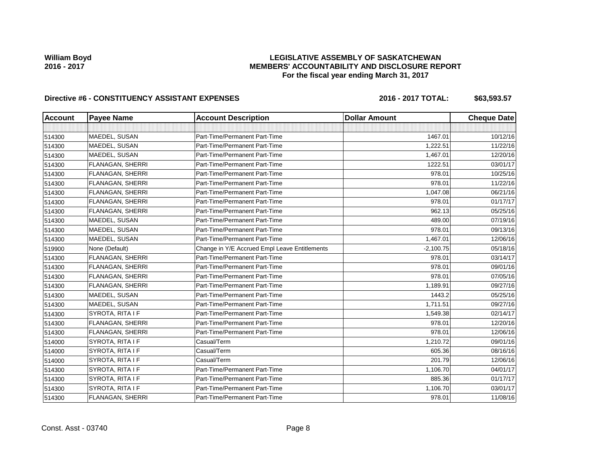## **LEGISLATIVE ASSEMBLY OF SASKATCHEWAN MEMBERS' ACCOUNTABILITY AND DISCLOSURE REPORT For the fiscal year ending March 31, 2017**

# Directive #6 - CONSTITUENCY ASSISTANT EXPENSES 2016 - 2016 - 2017 TOTAL: \$63,593.57

| <b>Account</b> | <b>Payee Name</b> | <b>Account Description</b>                    | <b>Dollar Amount</b> | <b>Cheque Date</b> |
|----------------|-------------------|-----------------------------------------------|----------------------|--------------------|
|                |                   |                                               |                      |                    |
| 514300         | MAEDEL, SUSAN     | Part-Time/Permanent Part-Time                 | 1467.01              | 10/12/16           |
| 514300         | MAEDEL, SUSAN     | Part-Time/Permanent Part-Time                 | 1,222.51             | 11/22/16           |
| 514300         | MAEDEL, SUSAN     | Part-Time/Permanent Part-Time                 | 1,467.01             | 12/20/16           |
| 514300         | FLANAGAN, SHERRI  | Part-Time/Permanent Part-Time                 | 1222.51              | 03/01/17           |
| 514300         | FLANAGAN, SHERRI  | Part-Time/Permanent Part-Time                 | 978.01               | 10/25/16           |
| 514300         | FLANAGAN, SHERRI  | Part-Time/Permanent Part-Time                 | 978.01               | 11/22/16           |
| 514300         | FLANAGAN, SHERRI  | Part-Time/Permanent Part-Time                 | 1,047.08             | 06/21/16           |
| 514300         | FLANAGAN, SHERRI  | Part-Time/Permanent Part-Time                 | 978.01               | 01/17/17           |
| 514300         | FLANAGAN, SHERRI  | Part-Time/Permanent Part-Time                 | 962.13               | 05/25/16           |
| 514300         | MAEDEL, SUSAN     | Part-Time/Permanent Part-Time                 | 489.00               | 07/19/16           |
| 514300         | MAEDEL, SUSAN     | Part-Time/Permanent Part-Time                 | 978.01               | 09/13/16           |
| 514300         | MAEDEL, SUSAN     | Part-Time/Permanent Part-Time                 | 1,467.01             | 12/06/16           |
| 519900         | None (Default)    | Change in Y/E Accrued Empl Leave Entitlements | $-2,100.75$          | 05/18/16           |
| 514300         | FLANAGAN, SHERRI  | Part-Time/Permanent Part-Time                 | 978.01               | 03/14/17           |
| 514300         | FLANAGAN, SHERRI  | Part-Time/Permanent Part-Time                 | 978.01               | 09/01/16           |
| 514300         | FLANAGAN, SHERRI  | Part-Time/Permanent Part-Time                 | 978.01               | 07/05/16           |
| 514300         | FLANAGAN, SHERRI  | Part-Time/Permanent Part-Time                 | 1,189.91             | 09/27/16           |
| 514300         | MAEDEL, SUSAN     | Part-Time/Permanent Part-Time                 | 1443.2               | 05/25/16           |
| 514300         | MAEDEL, SUSAN     | Part-Time/Permanent Part-Time                 | 1,711.51             | 09/27/16           |
| 514300         | SYROTA, RITA I F  | Part-Time/Permanent Part-Time                 | 1,549.38             | 02/14/17           |
| 514300         | FLANAGAN, SHERRI  | Part-Time/Permanent Part-Time                 | 978.01               | 12/20/16           |
| 514300         | FLANAGAN, SHERRI  | Part-Time/Permanent Part-Time                 | 978.01               | 12/06/16           |
| 514000         | SYROTA, RITA I F  | Casual/Term                                   | 1,210.72             | 09/01/16           |
| 514000         | SYROTA, RITA I F  | Casual/Term                                   | 605.36               | 08/16/16           |
| 514000         | SYROTA, RITA I F  | Casual/Term                                   | 201.79               | 12/06/16           |
| 514300         | SYROTA, RITA I F  | Part-Time/Permanent Part-Time                 | 1,106.70             | 04/01/17           |
| 514300         | SYROTA, RITA I F  | Part-Time/Permanent Part-Time                 | 885.36               | 01/17/17           |
| 514300         | SYROTA, RITA I F  | Part-Time/Permanent Part-Time                 | 1,106.70             | 03/01/17           |
| 514300         | FLANAGAN, SHERRI  | Part-Time/Permanent Part-Time                 | 978.01               | 11/08/16           |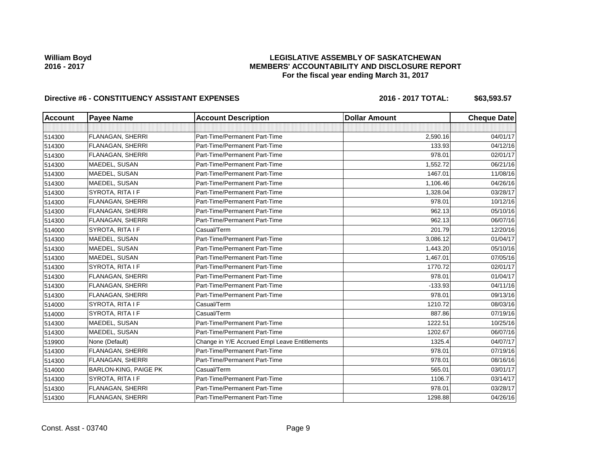## **LEGISLATIVE ASSEMBLY OF SASKATCHEWAN MEMBERS' ACCOUNTABILITY AND DISCLOSURE REPORT For the fiscal year ending March 31, 2017**

# Directive #6 - CONSTITUENCY ASSISTANT EXPENSES 2016 - 2016 - 2017 TOTAL: \$63,593.57

| <b>Account</b> | <b>Payee Name</b>            | <b>Account Description</b>                    | <b>Dollar Amount</b> | <b>Cheque Date</b> |
|----------------|------------------------------|-----------------------------------------------|----------------------|--------------------|
|                |                              |                                               |                      |                    |
| 514300         | FLANAGAN, SHERRI             | Part-Time/Permanent Part-Time                 | 2,590.16             | 04/01/17           |
| 514300         | FLANAGAN, SHERRI             | Part-Time/Permanent Part-Time                 | 133.93               | 04/12/16           |
| 514300         | FLANAGAN, SHERRI             | Part-Time/Permanent Part-Time                 | 978.01               | 02/01/17           |
| 514300         | MAEDEL, SUSAN                | Part-Time/Permanent Part-Time                 | 1,552.72             | 06/21/16           |
| 514300         | MAEDEL, SUSAN                | Part-Time/Permanent Part-Time                 | 1467.01              | 11/08/16           |
| 514300         | MAEDEL, SUSAN                | Part-Time/Permanent Part-Time                 | 1,106.46             | 04/26/16           |
| 514300         | SYROTA, RITA I F             | Part-Time/Permanent Part-Time                 | 1,328.04             | 03/28/17           |
| 514300         | FLANAGAN, SHERRI             | Part-Time/Permanent Part-Time                 | 978.01               | 10/12/16           |
| 514300         | FLANAGAN, SHERRI             | Part-Time/Permanent Part-Time                 | 962.13               | 05/10/16           |
| 514300         | FLANAGAN, SHERRI             | Part-Time/Permanent Part-Time                 | 962.13               | 06/07/16           |
| 514000         | SYROTA, RITA I F             | Casual/Term                                   | 201.79               | 12/20/16           |
| 514300         | MAEDEL, SUSAN                | Part-Time/Permanent Part-Time                 | 3,086.12             | 01/04/17           |
| 514300         | MAEDEL, SUSAN                | Part-Time/Permanent Part-Time                 | 1,443.20             | 05/10/16           |
| 514300         | MAEDEL, SUSAN                | Part-Time/Permanent Part-Time                 | 1,467.01             | 07/05/16           |
| 514300         | SYROTA, RITA I F             | Part-Time/Permanent Part-Time                 | 1770.72              | 02/01/17           |
| 514300         | FLANAGAN, SHERRI             | Part-Time/Permanent Part-Time                 | 978.01               | 01/04/17           |
| 514300         | FLANAGAN, SHERRI             | Part-Time/Permanent Part-Time                 | $-133.93$            | 04/11/16           |
| 514300         | FLANAGAN, SHERRI             | Part-Time/Permanent Part-Time                 | 978.01               | 09/13/16           |
| 514000         | SYROTA, RITA I F             | Casual/Term                                   | 1210.72              | 08/03/16           |
| 514000         | SYROTA, RITA I F             | Casual/Term                                   | 887.86               | 07/19/16           |
| 514300         | MAEDEL, SUSAN                | Part-Time/Permanent Part-Time                 | 1222.51              | 10/25/16           |
| 514300         | MAEDEL, SUSAN                | Part-Time/Permanent Part-Time                 | 1202.67              | 06/07/16           |
| 519900         | None (Default)               | Change in Y/E Accrued Empl Leave Entitlements | 1325.4               | 04/07/17           |
| 514300         | FLANAGAN, SHERRI             | Part-Time/Permanent Part-Time                 | 978.01               | 07/19/16           |
| 514300         | <b>FLANAGAN, SHERRI</b>      | Part-Time/Permanent Part-Time                 | 978.01               | 08/16/16           |
| 514000         | <b>BARLON-KING, PAIGE PK</b> | Casual/Term                                   | 565.01               | 03/01/17           |
| 514300         | SYROTA, RITA I F             | Part-Time/Permanent Part-Time                 | 1106.7               | 03/14/17           |
| 514300         | FLANAGAN, SHERRI             | Part-Time/Permanent Part-Time                 | 978.01               | 03/28/17           |
| 514300         | FLANAGAN, SHERRI             | Part-Time/Permanent Part-Time                 | 1298.88              | 04/26/16           |